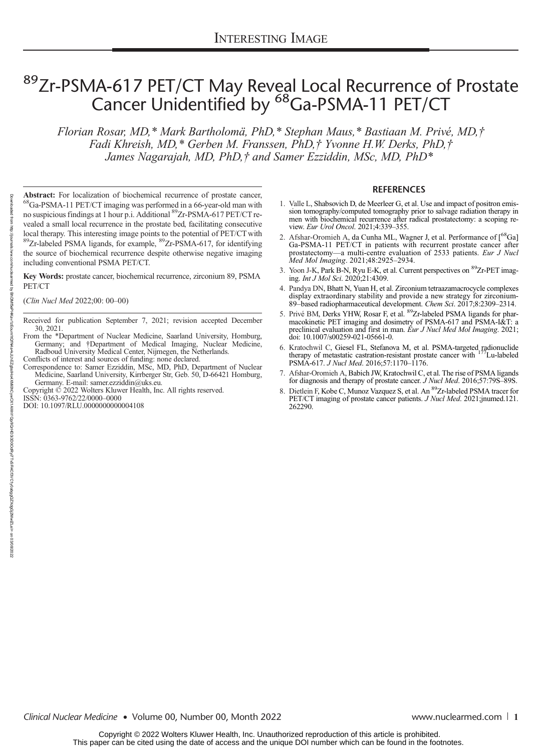## 89 Zr-PSMA-617 PET/CT May Reveal Local Recurrence of Prostate Cancer Unidentified by <sup>68</sup>Ga-PSMA-11 PET/CT

Florian Rosar, MD,\* Mark Bartholomä, PhD,\* Stephan Maus,\* Bastiaan M. Privé, MD,† Fadi Khreish, MD,\* Gerben M. Franssen, PhD,† Yvonne H.W. Derks, PhD,† James Nagarajah, MD, PhD,† and Samer Ezziddin, MSc, MD, PhD\*

Abstract: For localization of biochemical recurrence of prostate cancer, <sup>68</sup>Ga-PSMA-11 PET/CT imaging was performed in a 66-year-old man with no suspicious findings at 1 hour p.i. Additional 89Zr-PSMA-617 PET/CT revealed a small local recurrence in the prostate bed, facilitating consecutive local therapy. This interesting image points to the potential of PET/CT with  $89Zr$ -labeled PSMA ligands, for example,  $89Zr$ -PSMA-617, for identifying the source of biochemical recurrence despite otherwise negative imaging including conventional PSMA PET/CT.

Key Words: prostate cancer, biochemical recurrence, zirconium 89, PSMA PET/CT

(Clin Nucl Med 2022;00: 00–00)

- Received for publication September 7, 2021; revision accepted December 30, 2021.
- From the \*Department of Nuclear Medicine, Saarland University, Homburg, Germany; and †Department of Medical Imaging, Nuclear Medicine, Radboud University Medical Center, Nijmegen, the Netherlands.
- Conflicts of interest and sources of funding: none declared.
- Correspondence to: Samer Ezziddin, MSc, MD, PhD, Department of Nuclear Medicine, Saarland University, Kirrberger Str, Geb. 50, D-66421 Homburg,
- Germany. E-mail: [samer.ezziddin@uks.eu](mailto:samer.ezziddin@uks.eu). Copyright © 2022 Wolters Kluwer Health, Inc. All rights reserved.

ISSN: 0363-9762/22/0000–0000

DOI: 10.1097/RLU.0000000000004108

## **REFERENCES**

- 1. Valle L, Shabsovich D, de Meerleer G, et al. Use and impact of positron emission tomography/computed tomography prior to salvage radiation therapy in men with biochemical recurrence after radical prostatectomy: a scoping review. Eur Urol Oncol. 2021;4:339–355.
- 2. Afshar-Oromieh A, da Cunha ML, Wagner J, et al. Performance of [<sup>68</sup>Ga] Ga-PSMA-11 PET/CT in patients with recurrent prostate cancer after prostatectomy—a multi-centre evaluation of 2533 patients. Eur J Nucl Med Mol Imaging. 2021;48:2925–2934.
- 3. Yoon J-K, Park B-N, Ryu E-K, et al. Current perspectives on <sup>89</sup>Zr-PET imaging. Int J Mol Sci. 2020;21:4309.
- 4. Pandya DN, Bhatt N, Yuan H, et al. Zirconium tetraazamacrocycle complexes display extraordinary stability and provide a new strategy for zirconium-89–based radiopharmaceutical development. Chem Sci. 2017;8:2309–2314.
- 5. Privé BM, Derks YHW, Rosar F, et al. <sup>89</sup>Zr-labeled PSMA ligands for pharmacokinetic PET imaging and dosimetry of PSMA-617 and PSMA-I&T: a preclinical evaluation and first in man. Eur J Nucl Med Mol Imaging. 2021; doi: 10.1007/s00259-021-05661-0.
- 6. Kratochwil C, Giesel FL, Stefanova M, et al. PSMA-targeted radionuclide therapy of metastatic castration-resistant prostate cancer with 177Lu-labeled PSMA-617. J Nucl Med. 2016;57:1170–1176.
- 7. Afshar-Oromieh A, Babich JW, Kratochwil C, et al. The rise of PSMA ligands for diagnosis and therapy of prostate cancer. J Nucl Med. 2016;57:79S-89S.
- 8. Dietlein F, Kobe C, Munoz Vazquez S, et al. An <sup>89</sup>Zr-labeled PSMA tracer for PET/CT imaging of prostate cancer patients. *J Nucl Med.* 2021;jnumed.121. 262290.